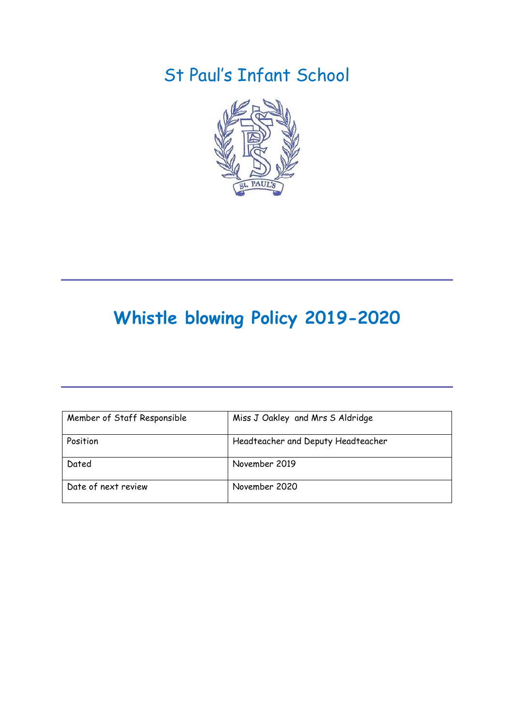## St Paul's Infant School



# **Whistle blowing Policy 2019-2020**

| Member of Staff Responsible | Miss J Oakley and Mrs S Aldridge   |
|-----------------------------|------------------------------------|
| Position                    | Headteacher and Deputy Headteacher |
| Dated                       | November 2019                      |
| Date of next review         | November 2020                      |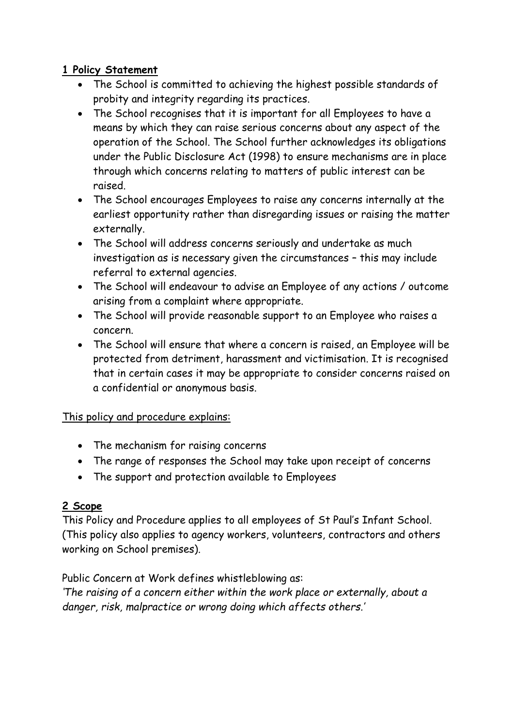## **1 Policy Statement**

- The School is committed to achieving the highest possible standards of probity and integrity regarding its practices.
- The School recognises that it is important for all Employees to have a means by which they can raise serious concerns about any aspect of the operation of the School. The School further acknowledges its obligations under the Public Disclosure Act (1998) to ensure mechanisms are in place through which concerns relating to matters of public interest can be raised.
- The School encourages Employees to raise any concerns internally at the earliest opportunity rather than disregarding issues or raising the matter externally.
- The School will address concerns seriously and undertake as much investigation as is necessary given the circumstances – this may include referral to external agencies.
- The School will endeavour to advise an Employee of any actions / outcome arising from a complaint where appropriate.
- The School will provide reasonable support to an Employee who raises a concern.
- The School will ensure that where a concern is raised, an Employee will be protected from detriment, harassment and victimisation. It is recognised that in certain cases it may be appropriate to consider concerns raised on a confidential or anonymous basis.

## This policy and procedure explains:

- The mechanism for raising concerns
- The range of responses the School may take upon receipt of concerns
- The support and protection available to Employees

## **2 Scope**

This Policy and Procedure applies to all employees of St Paul's Infant School. (This policy also applies to agency workers, volunteers, contractors and others working on School premises).

Public Concern at Work defines whistleblowing as:

*'The raising of a concern either within the work place or externally, about a danger, risk, malpractice or wrong doing which affects others.'*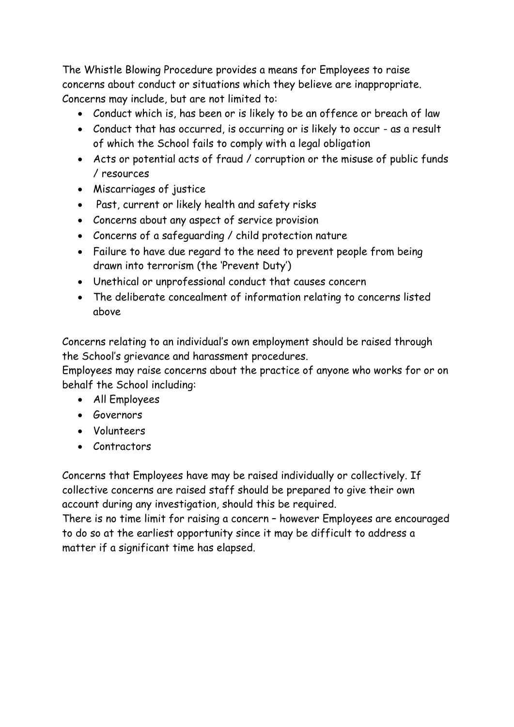The Whistle Blowing Procedure provides a means for Employees to raise concerns about conduct or situations which they believe are inappropriate. Concerns may include, but are not limited to:

- Conduct which is, has been or is likely to be an offence or breach of law
- Conduct that has occurred, is occurring or is likely to occur as a result of which the School fails to comply with a legal obligation
- Acts or potential acts of fraud / corruption or the misuse of public funds / resources
- Miscarriages of justice
- Past, current or likely health and safety risks
- Concerns about any aspect of service provision
- Concerns of a safeguarding / child protection nature
- Failure to have due regard to the need to prevent people from being drawn into terrorism (the 'Prevent Duty')
- Unethical or unprofessional conduct that causes concern
- The deliberate concealment of information relating to concerns listed above

Concerns relating to an individual's own employment should be raised through the School's grievance and harassment procedures.

Employees may raise concerns about the practice of anyone who works for or on behalf the School including:

- All Employees
- **•** Governors
- Volunteers
- Contractors

Concerns that Employees have may be raised individually or collectively. If collective concerns are raised staff should be prepared to give their own account during any investigation, should this be required.

There is no time limit for raising a concern – however Employees are encouraged to do so at the earliest opportunity since it may be difficult to address a matter if a significant time has elapsed.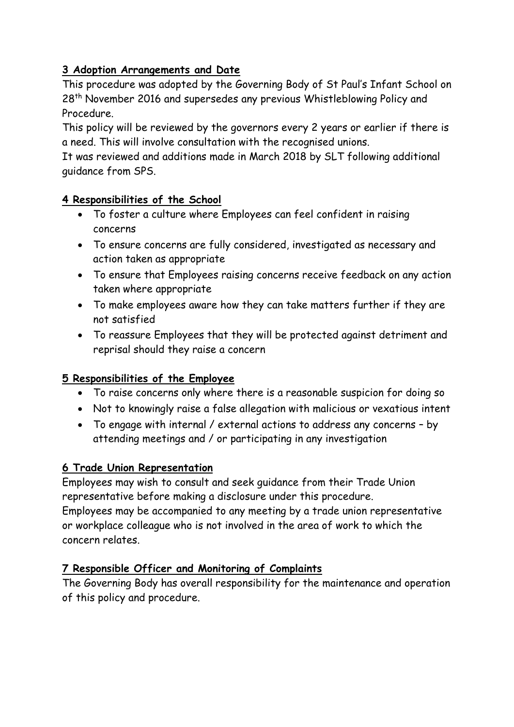## **3 Adoption Arrangements and Date**

This procedure was adopted by the Governing Body of St Paul's Infant School on 28<sup>th</sup> November 2016 and supersedes any previous Whistleblowing Policy and Procedure.

This policy will be reviewed by the governors every 2 years or earlier if there is a need. This will involve consultation with the recognised unions.

It was reviewed and additions made in March 2018 by SLT following additional guidance from SPS.

## **4 Responsibilities of the School**

- To foster a culture where Employees can feel confident in raising concerns
- To ensure concerns are fully considered, investigated as necessary and action taken as appropriate
- To ensure that Employees raising concerns receive feedback on any action taken where appropriate
- To make employees aware how they can take matters further if they are not satisfied
- To reassure Employees that they will be protected against detriment and reprisal should they raise a concern

## **5 Responsibilities of the Employee**

- To raise concerns only where there is a reasonable suspicion for doing so
- Not to knowingly raise a false allegation with malicious or vexatious intent
- To engage with internal / external actions to address any concerns by attending meetings and / or participating in any investigation

## **6 Trade Union Representation**

Employees may wish to consult and seek guidance from their Trade Union representative before making a disclosure under this procedure. Employees may be accompanied to any meeting by a trade union representative or workplace colleague who is not involved in the area of work to which the concern relates.

## **7 Responsible Officer and Monitoring of Complaints**

The Governing Body has overall responsibility for the maintenance and operation of this policy and procedure.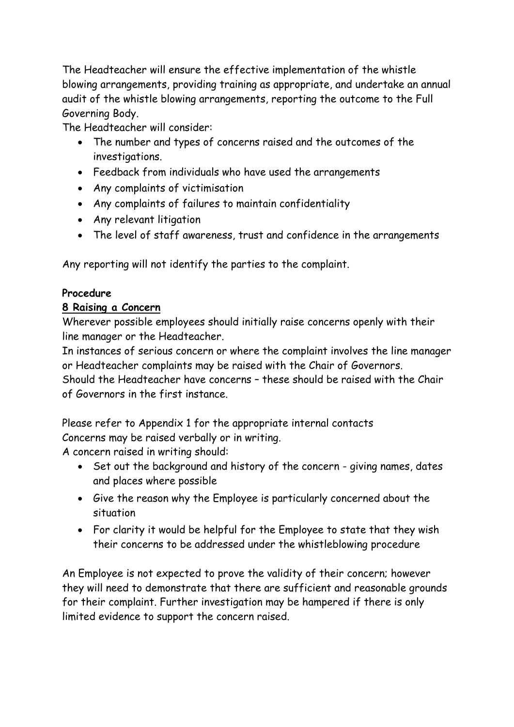The Headteacher will ensure the effective implementation of the whistle blowing arrangements, providing training as appropriate, and undertake an annual audit of the whistle blowing arrangements, reporting the outcome to the Full Governing Body.

The Headteacher will consider:

- The number and types of concerns raised and the outcomes of the investigations.
- Feedback from individuals who have used the arrangements
- Any complaints of victimisation
- Any complaints of failures to maintain confidentiality
- Any relevant litigation
- The level of staff awareness, trust and confidence in the arrangements

Any reporting will not identify the parties to the complaint.

## **Procedure**

## **8 Raising a Concern**

Wherever possible employees should initially raise concerns openly with their line manager or the Headteacher.

In instances of serious concern or where the complaint involves the line manager or Headteacher complaints may be raised with the Chair of Governors.

Should the Headteacher have concerns – these should be raised with the Chair of Governors in the first instance.

Please refer to Appendix 1 for the appropriate internal contacts

Concerns may be raised verbally or in writing.

A concern raised in writing should:

- Set out the background and history of the concern giving names, dates and places where possible
- Give the reason why the Employee is particularly concerned about the situation
- For clarity it would be helpful for the Employee to state that they wish their concerns to be addressed under the whistleblowing procedure

An Employee is not expected to prove the validity of their concern; however they will need to demonstrate that there are sufficient and reasonable grounds for their complaint. Further investigation may be hampered if there is only limited evidence to support the concern raised.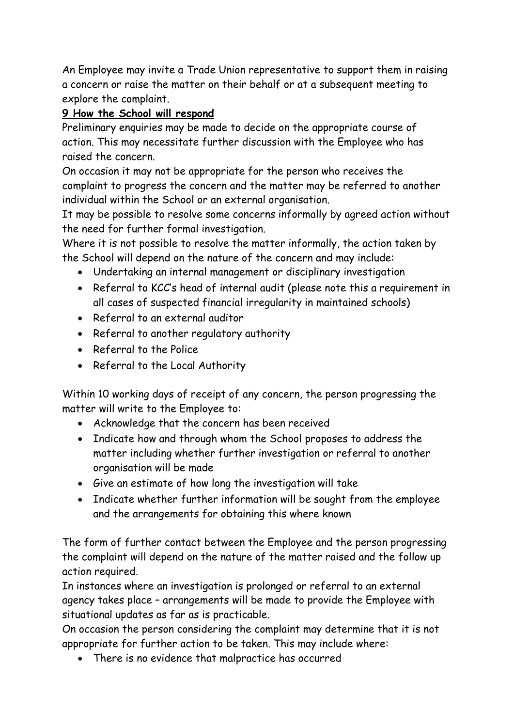An Employee may invite a Trade Union representative to support them in raising a concern or raise the matter on their behalf or at a subsequent meeting to explore the complaint.

## **9 How the School will respond**

Preliminary enquiries may be made to decide on the appropriate course of action. This may necessitate further discussion with the Employee who has raised the concern.

On occasion it may not be appropriate for the person who receives the complaint to progress the concern and the matter may be referred to another individual within the School or an external organisation.

It may be possible to resolve some concerns informally by agreed action without the need for further formal investigation.

Where it is not possible to resolve the matter informally, the action taken by the School will depend on the nature of the concern and may include:

- Undertaking an internal management or disciplinary investigation
- Referral to KCC's head of internal audit (please note this a requirement in all cases of suspected financial irregularity in maintained schools)
- Referral to an external auditor
- Referral to another regulatory authority
- Referral to the Police
- Referral to the Local Authority

Within 10 working days of receipt of any concern, the person progressing the matter will write to the Employee to:

- Acknowledge that the concern has been received
- Indicate how and through whom the School proposes to address the matter including whether further investigation or referral to another organisation will be made
- Give an estimate of how long the investigation will take
- Indicate whether further information will be sought from the employee and the arrangements for obtaining this where known

The form of further contact between the Employee and the person progressing the complaint will depend on the nature of the matter raised and the follow up action required.

In instances where an investigation is prolonged or referral to an external agency takes place – arrangements will be made to provide the Employee with situational updates as far as is practicable.

On occasion the person considering the complaint may determine that it is not appropriate for further action to be taken. This may include where:

There is no evidence that malpractice has occurred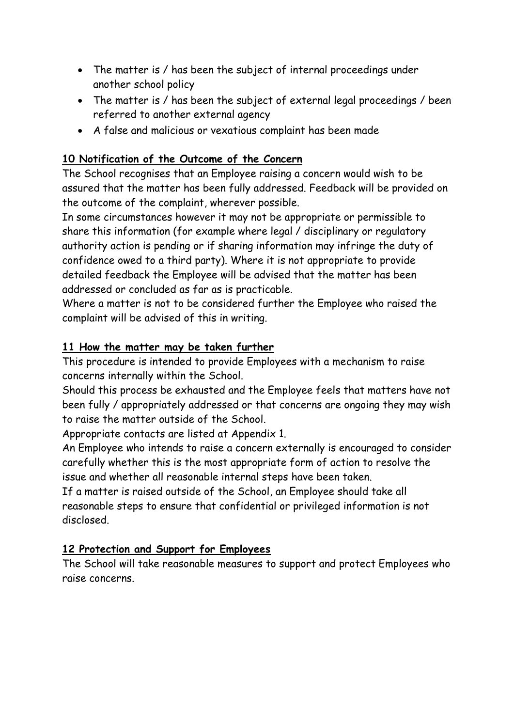- The matter is / has been the subject of internal proceedings under another school policy
- The matter is / has been the subject of external legal proceedings / been referred to another external agency
- A false and malicious or vexatious complaint has been made

## **10 Notification of the Outcome of the Concern**

The School recognises that an Employee raising a concern would wish to be assured that the matter has been fully addressed. Feedback will be provided on the outcome of the complaint, wherever possible.

In some circumstances however it may not be appropriate or permissible to share this information (for example where legal / disciplinary or regulatory authority action is pending or if sharing information may infringe the duty of confidence owed to a third party). Where it is not appropriate to provide detailed feedback the Employee will be advised that the matter has been addressed or concluded as far as is practicable.

Where a matter is not to be considered further the Employee who raised the complaint will be advised of this in writing.

## **11 How the matter may be taken further**

This procedure is intended to provide Employees with a mechanism to raise concerns internally within the School.

Should this process be exhausted and the Employee feels that matters have not been fully / appropriately addressed or that concerns are ongoing they may wish to raise the matter outside of the School.

Appropriate contacts are listed at Appendix 1.

An Employee who intends to raise a concern externally is encouraged to consider carefully whether this is the most appropriate form of action to resolve the issue and whether all reasonable internal steps have been taken.

If a matter is raised outside of the School, an Employee should take all reasonable steps to ensure that confidential or privileged information is not disclosed.

## **12 Protection and Support for Employees**

The School will take reasonable measures to support and protect Employees who raise concerns.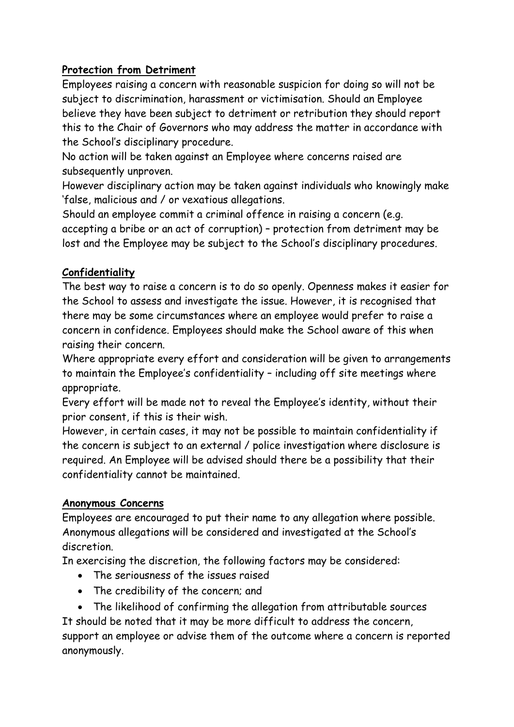## **Protection from Detriment**

Employees raising a concern with reasonable suspicion for doing so will not be subject to discrimination, harassment or victimisation. Should an Employee believe they have been subject to detriment or retribution they should report this to the Chair of Governors who may address the matter in accordance with the School's disciplinary procedure.

No action will be taken against an Employee where concerns raised are subsequently unproven.

However disciplinary action may be taken against individuals who knowingly make 'false, malicious and / or vexatious allegations.

Should an employee commit a criminal offence in raising a concern (e.g. accepting a bribe or an act of corruption) – protection from detriment may be lost and the Employee may be subject to the School's disciplinary procedures.

## **Confidentiality**

The best way to raise a concern is to do so openly. Openness makes it easier for the School to assess and investigate the issue. However, it is recognised that there may be some circumstances where an employee would prefer to raise a concern in confidence. Employees should make the School aware of this when raising their concern.

Where appropriate every effort and consideration will be given to arrangements to maintain the Employee's confidentiality – including off site meetings where appropriate.

Every effort will be made not to reveal the Employee's identity, without their prior consent, if this is their wish.

However, in certain cases, it may not be possible to maintain confidentiality if the concern is subject to an external / police investigation where disclosure is required. An Employee will be advised should there be a possibility that their confidentiality cannot be maintained.

## **Anonymous Concerns**

Employees are encouraged to put their name to any allegation where possible. Anonymous allegations will be considered and investigated at the School's discretion.

In exercising the discretion, the following factors may be considered:

- The seriousness of the issues raised
- The credibility of the concern; and
- The likelihood of confirming the allegation from attributable sources

It should be noted that it may be more difficult to address the concern, support an employee or advise them of the outcome where a concern is reported anonymously.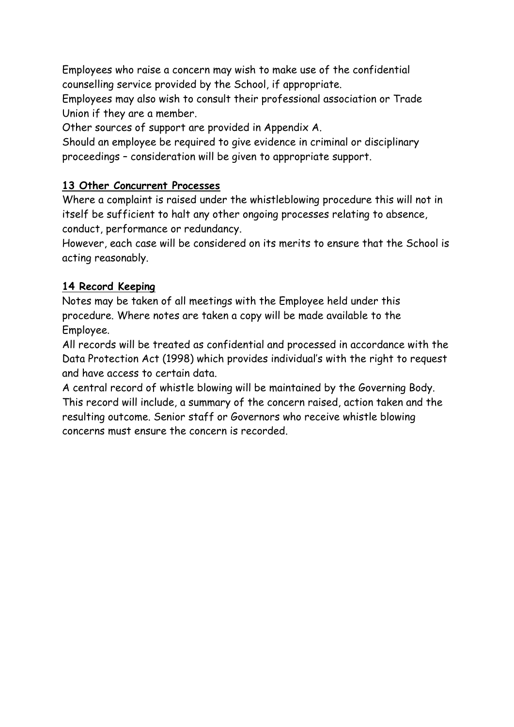Employees who raise a concern may wish to make use of the confidential counselling service provided by the School, if appropriate.

Employees may also wish to consult their professional association or Trade Union if they are a member.

Other sources of support are provided in Appendix A.

Should an employee be required to give evidence in criminal or disciplinary proceedings – consideration will be given to appropriate support.

## **13 Other Concurrent Processes**

Where a complaint is raised under the whistleblowing procedure this will not in itself be sufficient to halt any other ongoing processes relating to absence, conduct, performance or redundancy.

However, each case will be considered on its merits to ensure that the School is acting reasonably.

## **14 Record Keeping**

Notes may be taken of all meetings with the Employee held under this procedure. Where notes are taken a copy will be made available to the Employee.

All records will be treated as confidential and processed in accordance with the Data Protection Act (1998) which provides individual's with the right to request and have access to certain data.

A central record of whistle blowing will be maintained by the Governing Body. This record will include, a summary of the concern raised, action taken and the resulting outcome. Senior staff or Governors who receive whistle blowing concerns must ensure the concern is recorded.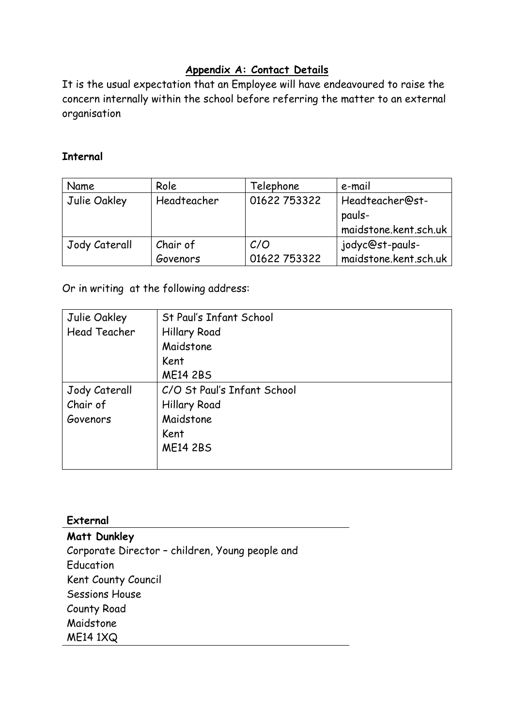## **Appendix A: Contact Details**

It is the usual expectation that an Employee will have endeavoured to raise the concern internally within the school before referring the matter to an external organisation

#### **Internal**

| Name          | Role        | Telephone    | e-mail                |
|---------------|-------------|--------------|-----------------------|
| Julie Oakley  | Headteacher | 01622 753322 | Headteacher@st-       |
|               |             |              | pauls-                |
|               |             |              | maidstone.kent.sch.uk |
| Jody Caterall | Chair of    | C/O          | jodyc@st-pauls-       |
|               | Govenors    | 01622 753322 | maidstone.kent.sch.uk |

Or in writing at the following address:

| Julie Oakley        | St Paul's Infant School     |
|---------------------|-----------------------------|
| <b>Head Teacher</b> | <b>Hillary Road</b>         |
|                     | Maidstone                   |
|                     | Kent                        |
|                     | <b>ME14 2BS</b>             |
| Jody Caterall       | C/O St Paul's Infant School |
| Chair of            | <b>Hillary Road</b>         |
| Govenors            | Maidstone                   |
|                     | Kent                        |
|                     | <b>ME14 2BS</b>             |
|                     |                             |

#### **External**

**Matt Dunkley** Corporate Director – children, Young people and Education Kent County Council Sessions House County Road Maidstone ME14 1XQ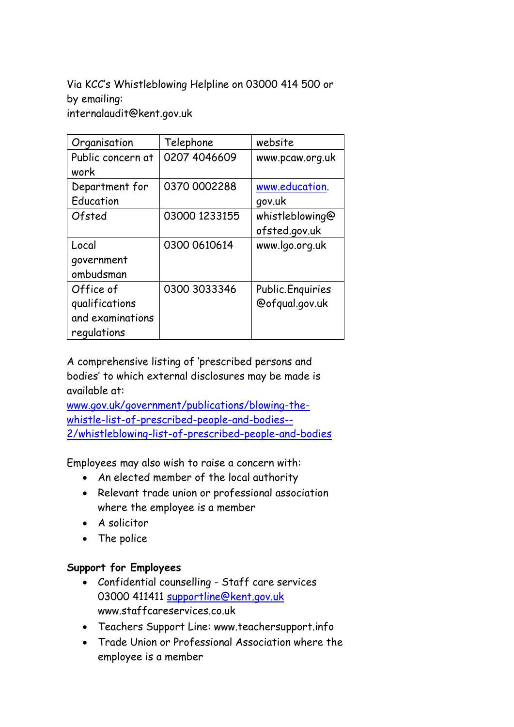Via KCC's Whistleblowing Helpline on 03000 414 500 or by emailing: internalaudit@kent.gov.uk

| Organisation      | Telephone     | website           |
|-------------------|---------------|-------------------|
| Public concern at | 0207 4046609  | www.pcaw.org.uk   |
| work              |               |                   |
| Department for    | 0370 0002288  | www.education.    |
| Education         |               | gov.uk            |
| Ofsted            | 03000 1233155 | whistleblowing@   |
|                   |               | ofsted.gov.uk     |
| Local             | 0300 0610614  | www.lqo.org.uk    |
| government        |               |                   |
| ombudsman         |               |                   |
| Office of         | 0300 3033346  | Public. Enquiries |
| qualifications    |               | @ofqual.gov.uk    |
| and examinations  |               |                   |
| regulations       |               |                   |

A comprehensive listing of 'prescribed persons and bodies' to which external disclosures may be made is available at:

[www.gov.uk/government/publications/blowing-the](http://www.gov.uk/government/publications/blowing-the-whistle-list-of-prescribed-people-and-bodies--2/whistleblowing-list-of-prescribed-people-and-bodies)[whistle-list-of-prescribed-people-and-bodies--](http://www.gov.uk/government/publications/blowing-the-whistle-list-of-prescribed-people-and-bodies--2/whistleblowing-list-of-prescribed-people-and-bodies) [2/whistleblowing-list-of-prescribed-people-and-bodies](http://www.gov.uk/government/publications/blowing-the-whistle-list-of-prescribed-people-and-bodies--2/whistleblowing-list-of-prescribed-people-and-bodies)

Employees may also wish to raise a concern with:

- An elected member of the local authority
- Relevant trade union or professional association where the employee is a member
- A solicitor
- The police

#### **Support for Employees**

- Confidential counselling Staff care services 03000 411411 [supportline@kent.gov.uk](mailto:supportline@kent.gov.uk) www.staffcareservices.co.uk
- Teachers Support Line: www.teachersupport.info
- Trade Union or Professional Association where the employee is a member